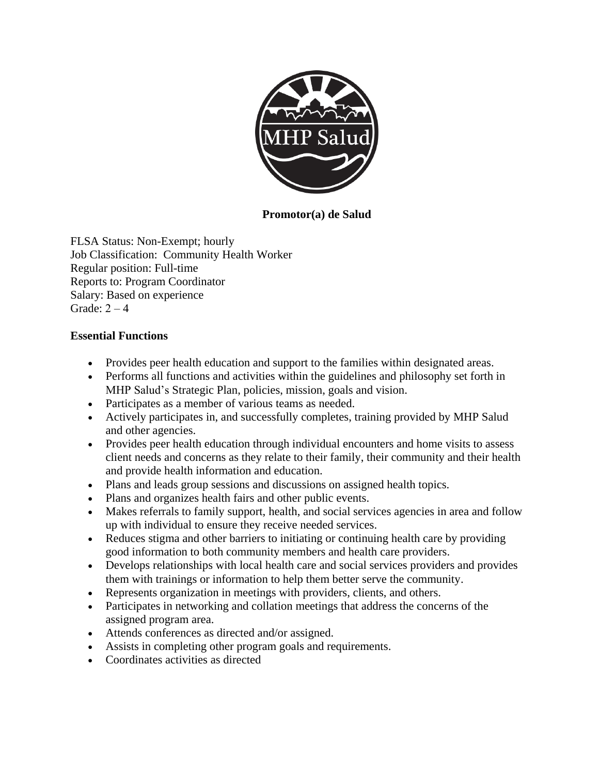

**Promotor(a) de Salud**

FLSA Status: Non-Exempt; hourly Job Classification: Community Health Worker Regular position: Full-time Reports to: Program Coordinator Salary: Based on experience Grade:  $2 - 4$ 

## **Essential Functions**

- Provides peer health education and support to the families within designated areas.
- Performs all functions and activities within the guidelines and philosophy set forth in MHP Salud's Strategic Plan, policies, mission, goals and vision.
- Participates as a member of various teams as needed.
- Actively participates in, and successfully completes, training provided by MHP Salud and other agencies.
- Provides peer health education through individual encounters and home visits to assess client needs and concerns as they relate to their family, their community and their health and provide health information and education.
- Plans and leads group sessions and discussions on assigned health topics.
- Plans and organizes health fairs and other public events.
- Makes referrals to family support, health, and social services agencies in area and follow up with individual to ensure they receive needed services.
- Reduces stigma and other barriers to initiating or continuing health care by providing good information to both community members and health care providers.
- Develops relationships with local health care and social services providers and provides them with trainings or information to help them better serve the community.
- Represents organization in meetings with providers, clients, and others.
- Participates in networking and collation meetings that address the concerns of the assigned program area.
- Attends conferences as directed and/or assigned.
- Assists in completing other program goals and requirements.
- Coordinates activities as directed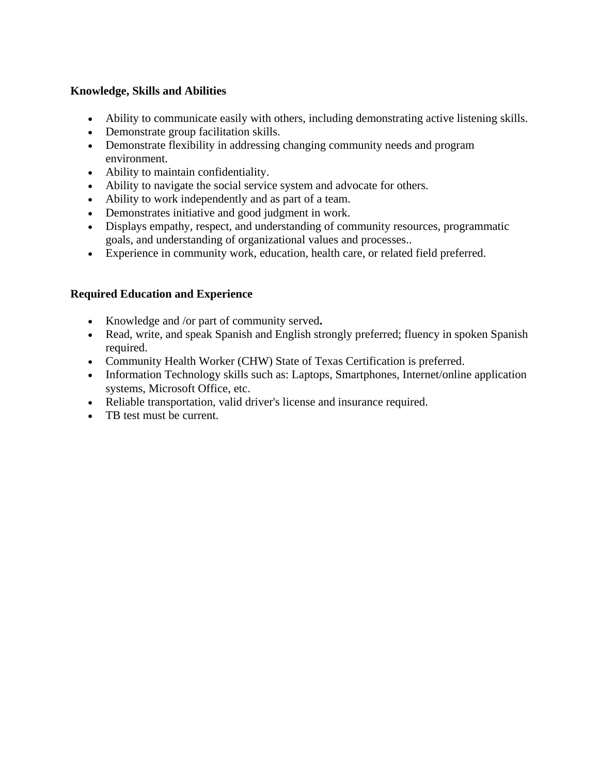## **Knowledge, Skills and Abilities**

- Ability to communicate easily with others, including demonstrating active listening skills.
- Demonstrate group facilitation skills.
- Demonstrate flexibility in addressing changing community needs and program environment.
- Ability to maintain confidentiality.
- Ability to navigate the social service system and advocate for others.
- Ability to work independently and as part of a team.
- Demonstrates initiative and good judgment in work.
- Displays empathy, respect, and understanding of community resources, programmatic goals, and understanding of organizational values and processes..
- Experience in community work, education, health care, or related field preferred.

## **Required Education and Experience**

- Knowledge and /or part of community served**.**
- Read, write, and speak Spanish and English strongly preferred; fluency in spoken Spanish required.
- Community Health Worker (CHW) State of Texas Certification is preferred.
- Information Technology skills such as: Laptops, Smartphones, Internet/online application systems, Microsoft Office, etc.
- Reliable transportation, valid driver's license and insurance required.
- TB test must be current.